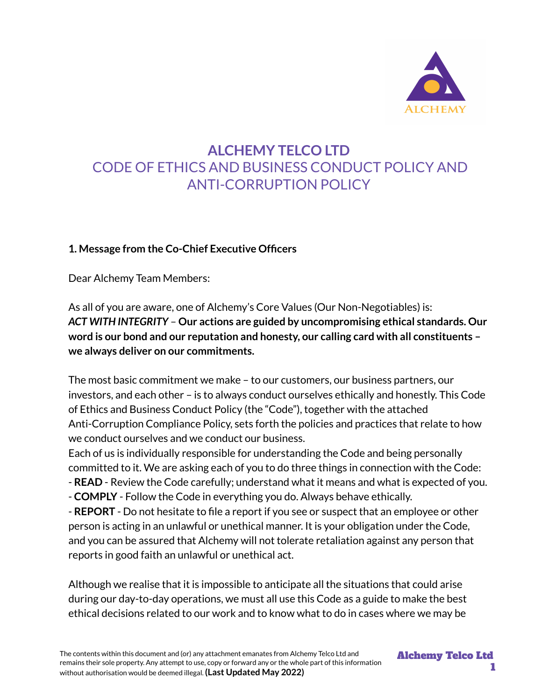

# **ALCHEMY TELCO LTD** CODE OF ETHICS AND BUSINESS CONDUCT POLICY AND ANTI-CORRUPTION POLICY

#### **1. Message from the Co-Chief Executive Officers**

Dear Alchemy Team Members:

As all of you are aware, one of Alchemy's Core Values (Our Non-Negotiables) is: *ACT WITH INTEGRITY* – **Our actions are guided by uncompromising ethical standards. Our word is our bond and our reputation and honesty, our calling card with all constituents – we always deliver on our commitments.**

The most basic commitment we make – to our customers, our business partners, our investors, and each other – is to always conduct ourselves ethically and honestly. This Code of Ethics and Business Conduct Policy (the "Code"), together with the attached Anti-Corruption Compliance Policy, sets forth the policies and practices that relate to how we conduct ourselves and we conduct our business.

Each of us is individually responsible for understanding the Code and being personally committed to it. We are asking each of you to do three things in connection with the Code: - **READ** - Review the Code carefully; understand what it means and what is expected of you. - **COMPLY** - Follow the Code in everything you do. Always behave ethically.

- **REPORT** - Do not hesitate to file a report if you see or suspect that an employee or other person is acting in an unlawful or unethical manner. It is your obligation under the Code, and you can be assured that Alchemy will not tolerate retaliation against any person that reports in good faith an unlawful or unethical act.

Although we realise that it is impossible to anticipate all the situations that could arise during our day-to-day operations, we must all use this Code as a guide to make the best ethical decisions related to our work and to know what to do in cases where we may be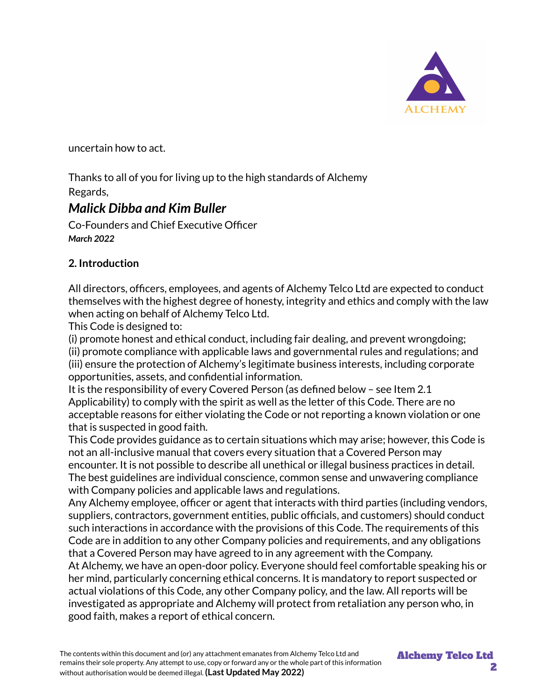

uncertain how to act.

Thanks to all of you for living up to the high standards of Alchemy Regards,

## *Malick Dibba and Kim Buller*

Co-Founders and Chief Executive Officer *March 2022*

## **2. Introduction**

All directors, officers, employees, and agents of Alchemy Telco Ltd are expected to conduct themselves with the highest degree of honesty, integrity and ethics and comply with the law when acting on behalf of Alchemy Telco Ltd.

This Code is designed to:

(i) promote honest and ethical conduct, including fair dealing, and prevent wrongdoing;

(ii) promote compliance with applicable laws and governmental rules and regulations; and (iii) ensure the protection of Alchemy's legitimate business interests, including corporate opportunities, assets, and confidential information.

It is the responsibility of every Covered Person (as defined below – see Item 2.1 Applicability) to comply with the spirit as well as the letter of this Code. There are no acceptable reasons for either violating the Code or not reporting a known violation or one that is suspected in good faith.

This Code provides guidance as to certain situations which may arise; however, this Code is not an all-inclusive manual that covers every situation that a Covered Person may encounter. It is not possible to describe all unethical or illegal business practices in detail. The best guidelines are individual conscience, common sense and unwavering compliance with Company policies and applicable laws and regulations.

Any Alchemy employee, officer or agent that interacts with third parties (including vendors, suppliers, contractors, government entities, public officials, and customers) should conduct such interactions in accordance with the provisions of this Code. The requirements of this Code are in addition to any other Company policies and requirements, and any obligations that a Covered Person may have agreed to in any agreement with the Company.

At Alchemy, we have an open-door policy. Everyone should feel comfortable speaking his or her mind, particularly concerning ethical concerns. It is mandatory to report suspected or actual violations of this Code, any other Company policy, and the law. All reports will be investigated as appropriate and Alchemy will protect from retaliation any person who, in good faith, makes a report of ethical concern.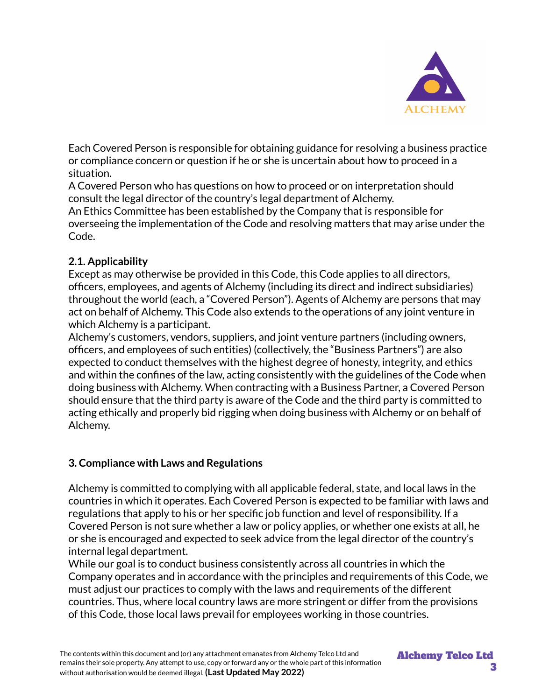

Each Covered Person is responsible for obtaining guidance for resolving a business practice or compliance concern or question if he or she is uncertain about how to proceed in a situation.

A Covered Person who has questions on how to proceed or on interpretation should consult the legal director of the country's legal department of Alchemy.

An Ethics Committee has been established by the Company that is responsible for overseeing the implementation of the Code and resolving matters that may arise under the Code.

#### **2.1. Applicability**

Except as may otherwise be provided in this Code, this Code applies to all directors, officers, employees, and agents of Alchemy (including its direct and indirect subsidiaries) throughout the world (each, a "Covered Person"). Agents of Alchemy are persons that may act on behalf of Alchemy. This Code also extends to the operations of any joint venture in which Alchemy is a participant.

Alchemy's customers, vendors, suppliers, and joint venture partners (including owners, officers, and employees of such entities) (collectively, the "Business Partners") are also expected to conduct themselves with the highest degree of honesty, integrity, and ethics and within the confines of the law, acting consistently with the guidelines of the Code when doing business with Alchemy. When contracting with a Business Partner, a Covered Person should ensure that the third party is aware of the Code and the third party is committed to acting ethically and properly bid rigging when doing business with Alchemy or on behalf of Alchemy.

#### **3. Compliance with Laws and Regulations**

Alchemy is committed to complying with all applicable federal, state, and local laws in the countries in which it operates. Each Covered Person is expected to be familiar with laws and regulations that apply to his or her specific job function and level of responsibility. If a Covered Person is not sure whether a law or policy applies, or whether one exists at all, he or she is encouraged and expected to seek advice from the legal director of the country's internal legal department.

While our goal is to conduct business consistently across all countries in which the Company operates and in accordance with the principles and requirements of this Code, we must adjust our practices to comply with the laws and requirements of the different countries. Thus, where local country laws are more stringent or differ from the provisions of this Code, those local laws prevail for employees working in those countries.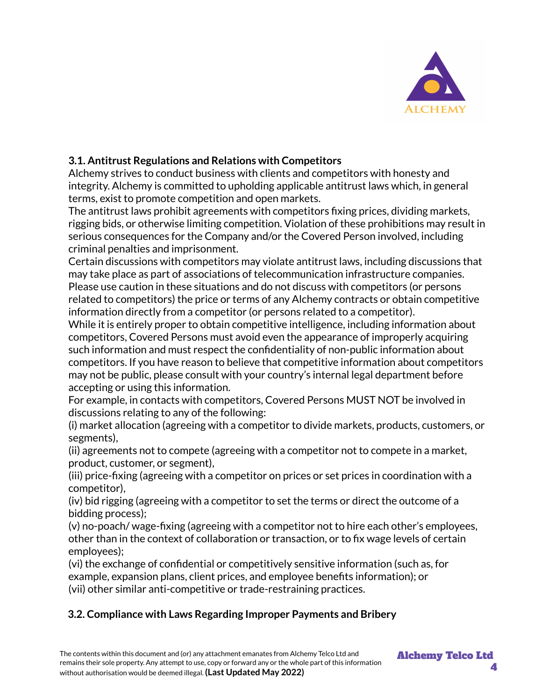

## **3.1. Antitrust Regulations and Relations with Competitors**

Alchemy strives to conduct business with clients and competitors with honesty and integrity. Alchemy is committed to upholding applicable antitrust laws which, in general terms, exist to promote competition and open markets.

The antitrust laws prohibit agreements with competitors fixing prices, dividing markets, rigging bids, or otherwise limiting competition. Violation of these prohibitions may result in serious consequences for the Company and/or the Covered Person involved, including criminal penalties and imprisonment.

Certain discussions with competitors may violate antitrust laws, including discussions that may take place as part of associations of telecommunication infrastructure companies. Please use caution in these situations and do not discuss with competitors (or persons related to competitors) the price or terms of any Alchemy contracts or obtain competitive information directly from a competitor (or persons related to a competitor).

While it is entirely proper to obtain competitive intelligence, including information about competitors, Covered Persons must avoid even the appearance of improperly acquiring such information and must respect the confidentiality of non-public information about competitors. If you have reason to believe that competitive information about competitors may not be public, please consult with your country's internal legal department before accepting or using this information.

For example, in contacts with competitors, Covered Persons MUST NOT be involved in discussions relating to any of the following:

(i) market allocation (agreeing with a competitor to divide markets, products, customers, or segments),

(ii) agreements not to compete (agreeing with a competitor not to compete in a market, product, customer, or segment),

(iii) price-fixing (agreeing with a competitor on prices or set prices in coordination with a competitor),

(iv) bid rigging (agreeing with a competitor to set the terms or direct the outcome of a bidding process);

(v) no-poach/ wage-fixing (agreeing with a competitor not to hire each other's employees, other than in the context of collaboration or transaction, or to fix wage levels of certain employees);

(vi) the exchange of confidential or competitively sensitive information (such as, for example, expansion plans, client prices, and employee benefits information); or (vii) other similar anti-competitive or trade-restraining practices.

## **3.2. Compliance with Laws Regarding Improper Payments and Bribery**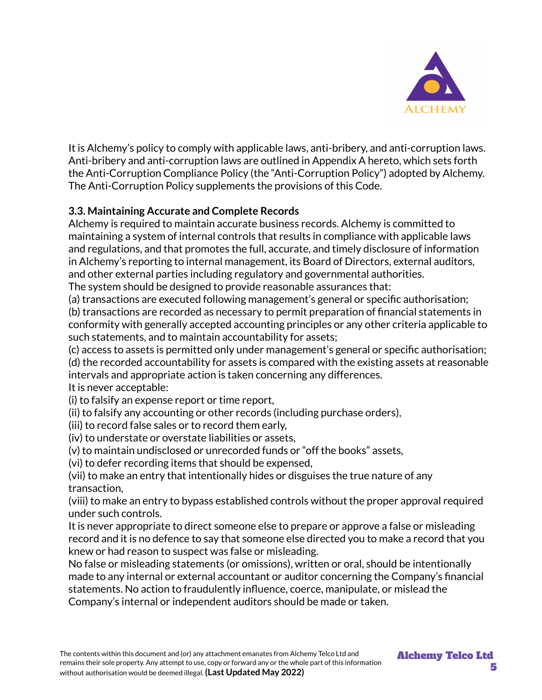

It is Alchemy's policy to comply with applicable laws, anti-bribery, and anti-corruption laws. Anti-bribery and anti-corruption laws are outlined in Appendix A hereto, which sets forth the Anti-Corruption Compliance Policy (the "Anti-Corruption Policy") adopted by Alchemy. The Anti-Corruption Policy supplements the provisions of this Code.

## **3.3. Maintaining Accurate and Complete Records**

Alchemy is required to maintain accurate business records. Alchemy is committed to maintaining a system of internal controls that results in compliance with applicable laws and regulations, and that promotes the full, accurate, and timely disclosure of information in Alchemy's reporting to internal management, its Board of Directors, external auditors, and other external parties including regulatory and governmental authorities.

The system should be designed to provide reasonable assurances that:

(a) transactions are executed following management's general or specific authorisation;

(b) transactions are recorded as necessary to permit preparation of financial statements in conformity with generally accepted accounting principles or any other criteria applicable to such statements, and to maintain accountability for assets;

(c) access to assets is permitted only under management's general or specific authorisation; (d) the recorded accountability for assets is compared with the existing assets at reasonable intervals and appropriate action is taken concerning any differences.

It is never acceptable:

(i) to falsify an expense report or time report,

(ii) to falsify any accounting or other records (including purchase orders),

(iii) to record false sales or to record them early,

(iv) to understate or overstate liabilities or assets,

(v) to maintain undisclosed or unrecorded funds or "off the books" assets,

(vi) to defer recording items that should be expensed,

(vii) to make an entry that intentionally hides or disguises the true nature of any transaction,

(viii) to make an entry to bypass established controls without the proper approval required under such controls.

It is never appropriate to direct someone else to prepare or approve a false or misleading record and it is no defence to say that someone else directed you to make a record that you knew or had reason to suspect was false or misleading.

No false or misleading statements (or omissions), written or oral, should be intentionally made to any internal or external accountant or auditor concerning the Company's financial statements. No action to fraudulently influence, coerce, manipulate, or mislead the Company's internal or independent auditors should be made or taken.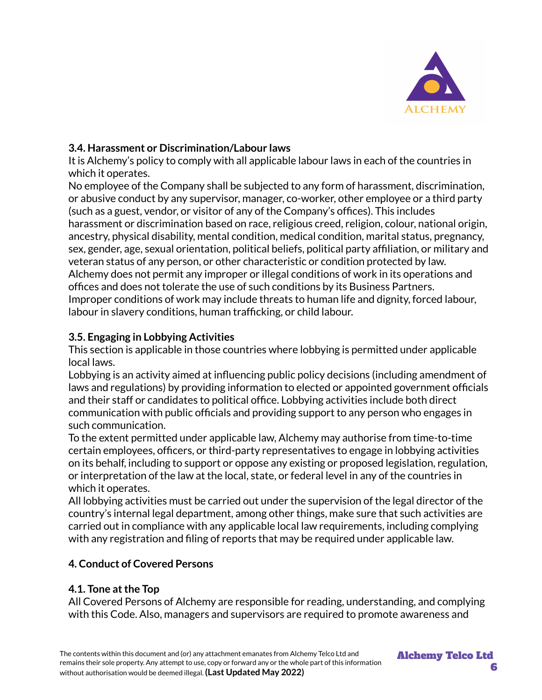

#### **3.4. Harassment or Discrimination/Labour laws**

It is Alchemy's policy to comply with all applicable labour laws in each of the countries in which it operates.

No employee of the Company shall be subjected to any form of harassment, discrimination, or abusive conduct by any supervisor, manager, co-worker, other employee or a third party (such as a guest, vendor, or visitor of any of the Company's offices). This includes harassment or discrimination based on race, religious creed, religion, colour, national origin, ancestry, physical disability, mental condition, medical condition, marital status, pregnancy, sex, gender, age, sexual orientation, political beliefs, political party affiliation, or military and veteran status of any person, or other characteristic or condition protected by law. Alchemy does not permit any improper or illegal conditions of work in its operations and offices and does not tolerate the use of such conditions by its Business Partners. Improper conditions of work may include threats to human life and dignity, forced labour, labour in slavery conditions, human trafficking, or child labour.

## **3.5. Engaging in Lobbying Activities**

This section is applicable in those countries where lobbying is permitted under applicable local laws.

Lobbying is an activity aimed at influencing public policy decisions (including amendment of laws and regulations) by providing information to elected or appointed government officials and their staff or candidates to political office. Lobbying activities include both direct communication with public officials and providing support to any person who engages in such communication.

To the extent permitted under applicable law, Alchemy may authorise from time-to-time certain employees, officers, or third-party representatives to engage in lobbying activities on its behalf, including to support or oppose any existing or proposed legislation, regulation, or interpretation of the law at the local, state, or federal level in any of the countries in which it operates.

All lobbying activities must be carried out under the supervision of the legal director of the country's internal legal department, among other things, make sure that such activities are carried out in compliance with any applicable local law requirements, including complying with any registration and filing of reports that may be required under applicable law.

## **4. Conduct of Covered Persons**

## **4.1. Tone atthe Top**

All Covered Persons of Alchemy are responsible for reading, understanding, and complying with this Code. Also, managers and supervisors are required to promote awareness and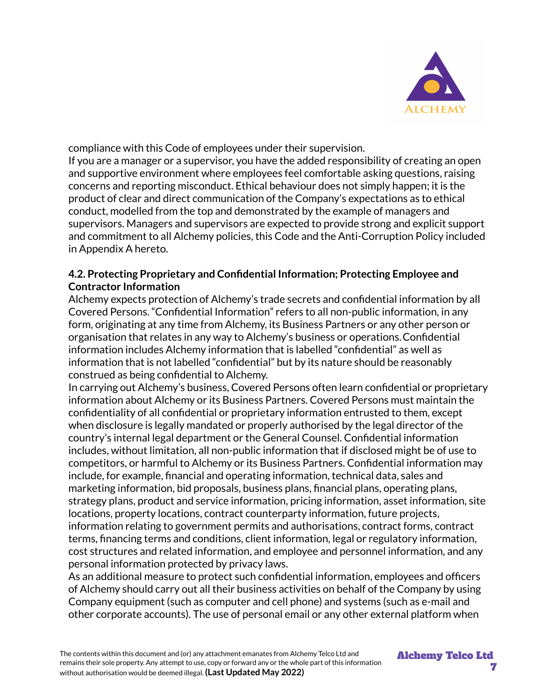

compliance with this Code of employees under their supervision.

If you are a manager or a supervisor, you have the added responsibility of creating an open and supportive environment where employees feel comfortable asking questions, raising concerns and reporting misconduct. Ethical behaviour does not simply happen; it is the product of clear and direct communication of the Company's expectations as to ethical conduct, modelled from the top and demonstrated by the example of managers and supervisors. Managers and supervisors are expected to provide strong and explicit support and commitment to all Alchemy policies, this Code and the Anti-Corruption Policy included in Appendix A hereto.

#### **4.2. Protecting Proprietary and Confidential Information; Protecting Employee and Contractor Information**

Alchemy expects protection of Alchemy's trade secrets and confidential information by all Covered Persons. "Confidential Information" refers to all non-public information, in any form, originating at any time from Alchemy, its Business Partners or any other person or organisation that relates in any way to Alchemy's business or operations.Confidential information includes Alchemy information that is labelled "confidential" as well as information that is not labelled "confidential" but by its nature should be reasonably construed as being confidential to Alchemy.

In carrying out Alchemy's business, Covered Persons often learn confidential or proprietary information about Alchemy or its Business Partners. Covered Persons must maintain the confidentiality of all confidential or proprietary information entrusted to them, except when disclosure is legally mandated or properly authorised by the legal director of the country's internal legal department or the General Counsel. Confidential information includes, without limitation, all non-public information that if disclosed might be of use to competitors, or harmful to Alchemy or its Business Partners. Confidential information may include, for example, financial and operating information, technical data, sales and marketing information, bid proposals, business plans, financial plans, operating plans, strategy plans, product and service information, pricing information, asset information, site locations, property locations, contract counterparty information, future projects, information relating to government permits and authorisations, contract forms, contract terms, financing terms and conditions, client information, legal or regulatory information, cost structures and related information, and employee and personnel information, and any personal information protected by privacy laws.

As an additional measure to protect such confidential information, employees and officers of Alchemy should carry out all their business activities on behalf of the Company by using Company equipment (such as computer and cell phone) and systems (such as e-mail and other corporate accounts). The use of personal email or any other external platform when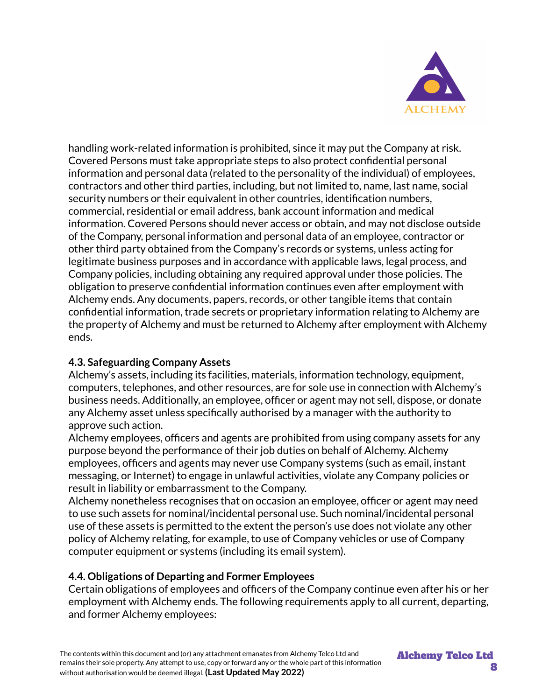

handling work-related information is prohibited, since it may put the Company at risk. Covered Persons must take appropriate steps to also protect confidential personal information and personal data (related to the personality of the individual) of employees, contractors and other third parties, including, but not limited to, name, last name, social security numbers or their equivalent in other countries, identification numbers, commercial, residential or email address, bank account information and medical information. Covered Persons should never access or obtain, and may not disclose outside of the Company, personal information and personal data of an employee, contractor or other third party obtained from the Company's records or systems, unless acting for legitimate business purposes and in accordance with applicable laws, legal process, and Company policies, including obtaining any required approval under those policies. The obligation to preserve confidential information continues even after employment with Alchemy ends. Any documents, papers, records, or other tangible items that contain confidential information, trade secrets or proprietary information relating to Alchemy are the property of Alchemy and must be returned to Alchemy after employment with Alchemy ends.

## **4.3. Safeguarding Company Assets**

Alchemy's assets, including its facilities, materials, information technology, equipment, computers, telephones, and other resources, are for sole use in connection with Alchemy's business needs. Additionally, an employee, officer or agent may not sell, dispose, or donate any Alchemy asset unless specifically authorised by a manager with the authority to approve such action.

Alchemy employees, officers and agents are prohibited from using company assets for any purpose beyond the performance of their job duties on behalf of Alchemy. Alchemy employees, officers and agents may never use Company systems (such as email, instant messaging, or Internet) to engage in unlawful activities, violate any Company policies or result in liability or embarrassment to the Company.

Alchemy nonetheless recognises that on occasion an employee, officer or agent may need to use such assets for nominal/incidental personal use. Such nominal/incidental personal use of these assets is permitted to the extent the person's use does not violate any other policy of Alchemy relating, for example, to use of Company vehicles or use of Company computer equipment or systems (including its email system).

#### **4.4. Obligations of Departing and Former Employees**

Certain obligations of employees and officers of the Company continue even after his or her employment with Alchemy ends. The following requirements apply to all current, departing, and former Alchemy employees: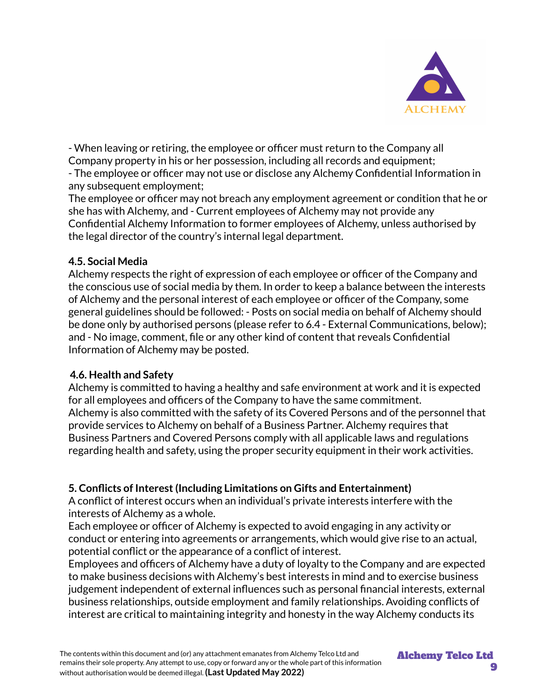

- When leaving or retiring, the employee or officer must return to the Company all Company property in his or her possession, including all records and equipment; - The employee or officer may not use or disclose any Alchemy Confidential Information in any subsequent employment;

The employee or officer may not breach any employment agreement or condition that he or she has with Alchemy, and - Current employees of Alchemy may not provide any Confidential Alchemy Information to former employees of Alchemy, unless authorised by the legal director of the country's internal legal department.

#### **4.5. Social Media**

Alchemy respects the right of expression of each employee or officer of the Company and the conscious use of social media by them. In order to keep a balance between the interests of Alchemy and the personal interest of each employee or officer of the Company, some general guidelines should be followed: - Posts on social media on behalf of Alchemy should be done only by authorised persons (please refer to 6.4 - External Communications, below); and - No image, comment, file or any other kind of content that reveals Confidential Information of Alchemy may be posted.

#### **4.6. Health and Safety**

Alchemy is committed to having a healthy and safe environment at work and it is expected for all employees and officers of the Company to have the same commitment. Alchemy is also committed with the safety of its Covered Persons and of the personnel that provide services to Alchemy on behalf of a Business Partner. Alchemy requires that Business Partners and Covered Persons comply with all applicable laws and regulations regarding health and safety, using the proper security equipment in their work activities.

## **5. Conflicts of Interest(Including Limitations on Gifts and Entertainment)**

A conflict of interest occurs when an individual's private interests interfere with the interests of Alchemy as a whole.

Each employee or officer of Alchemy is expected to avoid engaging in any activity or conduct or entering into agreements or arrangements, which would give rise to an actual, potential conflict or the appearance of a conflict of interest.

Employees and officers of Alchemy have a duty of loyalty to the Company and are expected to make business decisions with Alchemy's best interests in mind and to exercise business judgement independent of external influences such as personal financial interests, external business relationships, outside employment and family relationships. Avoiding conflicts of interest are critical to maintaining integrity and honesty in the way Alchemy conducts its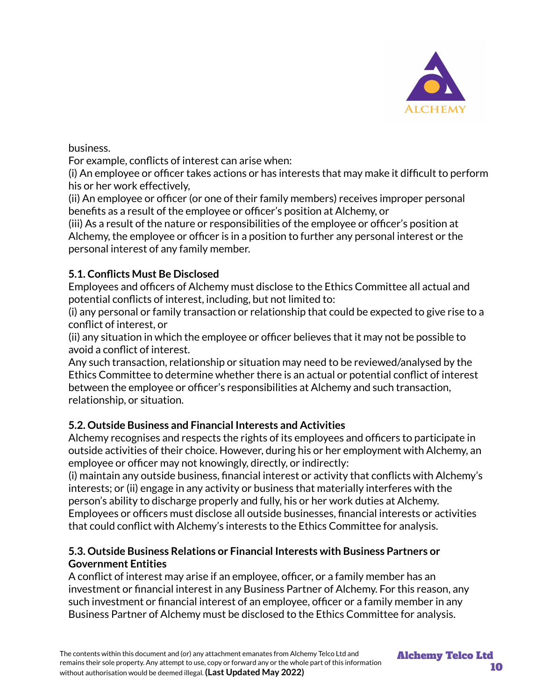

business.

For example, conflicts of interest can arise when:

(i) An employee or officer takes actions or has interests that may make it difficult to perform his or her work effectively,

(ii) An employee or officer (or one of their family members) receives improper personal benefits as a result of the employee or officer's position at Alchemy, or

(iii) As a result of the nature or responsibilities of the employee or officer's position at Alchemy, the employee or officer is in a position to further any personal interest or the personal interest of any family member.

## **5.1. Conflicts Must Be Disclosed**

Employees and officers of Alchemy must disclose to the Ethics Committee all actual and potential conflicts of interest, including, but not limited to:

(i) any personal or family transaction or relationship that could be expected to give rise to a conflict of interest, or

(ii) any situation in which the employee or officer believes that it may not be possible to avoid a conflict of interest.

Any such transaction, relationship or situation may need to be reviewed/analysed by the Ethics Committee to determine whether there is an actual or potential conflict of interest between the employee or officer's responsibilities at Alchemy and such transaction, relationship, or situation.

## **5.2. Outside Business and Financial Interests and Activities**

Alchemy recognises and respects the rights of its employees and officers to participate in outside activities of their choice. However, during his or her employment with Alchemy, an employee or officer may not knowingly, directly, or indirectly:

(i) maintain any outside business, financial interest or activity that conflicts with Alchemy's interests; or (ii) engage in any activity or business that materially interferes with the person's ability to discharge properly and fully, his or her work duties at Alchemy. Employees or officers must disclose all outside businesses, financial interests or activities that could conflict with Alchemy's interests to the Ethics Committee for analysis.

#### **5.3. Outside Business Relations or Financial Interests with Business Partners or Government Entities**

A conflict of interest may arise if an employee, officer, or a family member has an investment or financial interest in any Business Partner of Alchemy. For this reason, any such investment or financial interest of an employee, officer or a family member in any Business Partner of Alchemy must be disclosed to the Ethics Committee for analysis.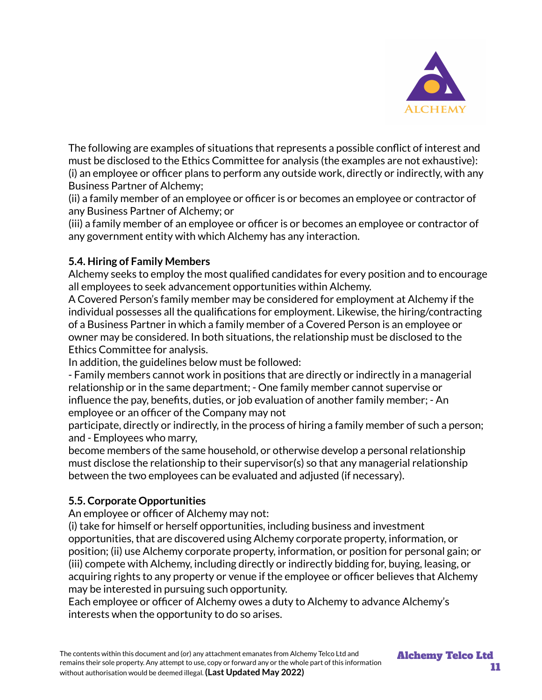

The following are examples of situations that represents a possible conflict of interest and must be disclosed to the Ethics Committee for analysis (the examples are not exhaustive): (i) an employee or officer plans to perform any outside work, directly or indirectly, with any Business Partner of Alchemy;

(ii) a family member of an employee or officer is or becomes an employee or contractor of any Business Partner of Alchemy; or

(iii) a family member of an employee or officer is or becomes an employee or contractor of any government entity with which Alchemy has any interaction.

#### **5.4. Hiring of Family Members**

Alchemy seeks to employ the most qualified candidates for every position and to encourage all employees to seek advancement opportunities within Alchemy.

A Covered Person's family member may be considered for employment at Alchemy if the individual possesses all the qualifications for employment. Likewise, the hiring/contracting of a Business Partner in which a family member of a Covered Person is an employee or owner may be considered. In both situations, the relationship must be disclosed to the Ethics Committee for analysis.

In addition, the guidelines below must be followed:

- Family members cannot work in positions that are directly or indirectly in a managerial relationship or in the same department; - One family member cannot supervise or influence the pay, benefits, duties, or job evaluation of another family member; - An employee or an officer of the Company may not

participate, directly or indirectly, in the process of hiring a family member of such a person; and - Employees who marry,

become members of the same household, or otherwise develop a personal relationship must disclose the relationship to their supervisor(s) so that any managerial relationship between the two employees can be evaluated and adjusted (if necessary).

## **5.5. Corporate Opportunities**

An employee or officer of Alchemy may not:

(i) take for himself or herself opportunities, including business and investment opportunities, that are discovered using Alchemy corporate property, information, or position; (ii) use Alchemy corporate property, information, or position for personal gain; or (iii) compete with Alchemy, including directly or indirectly bidding for, buying, leasing, or acquiring rights to any property or venue if the employee or officer believes that Alchemy may be interested in pursuing such opportunity.

Each employee or officer of Alchemy owes a duty to Alchemy to advance Alchemy's interests when the opportunity to do so arises.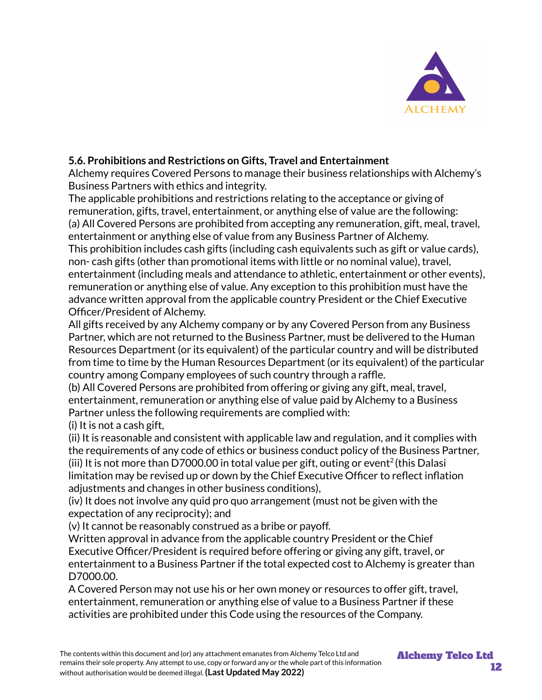

#### **5.6. Prohibitions and Restrictions on Gifts, Travel and Entertainment**

Alchemy requires Covered Persons to manage their business relationships with Alchemy's Business Partners with ethics and integrity.

The applicable prohibitions and restrictions relating to the acceptance or giving of remuneration, gifts, travel, entertainment, or anything else of value are the following: (a) All Covered Persons are prohibited from accepting any remuneration, gift, meal, travel, entertainment or anything else of value from any Business Partner of Alchemy.

This prohibition includes cash gifts (including cash equivalents such as gift or value cards), non- cash gifts (other than promotional items with little or no nominal value), travel, entertainment (including meals and attendance to athletic, entertainment or other events), remuneration or anything else of value. Any exception to this prohibition must have the advance written approval from the applicable country President or the Chief Executive Officer/President of Alchemy.

All gifts received by any Alchemy company or by any Covered Person from any Business Partner, which are not returned to the Business Partner, must be delivered to the Human Resources Department (or its equivalent) of the particular country and will be distributed from time to time by the Human Resources Department (or its equivalent) of the particular country among Company employees of such country through a raffle.

(b) All Covered Persons are prohibited from offering or giving any gift, meal, travel, entertainment, remuneration or anything else of value paid by Alchemy to a Business Partner unless the following requirements are complied with:

(i) It is not a cash gift,

(ii) It is reasonable and consistent with applicable law and regulation, and it complies with the requirements of any code of ethics or business conduct policy of the Business Partner, (iii) It is not more than D7000.00 in total value per gift, outing or event<sup>2</sup> (this Dalasi limitation may be revised up or down by the Chief Executive Officer to reflect inflation adjustments and changes in other business conditions),

(iv) It does not involve any quid pro quo arrangement (must not be given with the expectation of any reciprocity); and

(v) It cannot be reasonably construed as a bribe or payoff.

Written approval in advance from the applicable country President or the Chief Executive Officer/President is required before offering or giving any gift, travel, or entertainment to a Business Partner if the total expected cost to Alchemy is greater than D7000.00.

A Covered Person may not use his or her own money or resources to offer gift, travel, entertainment, remuneration or anything else of value to a Business Partner if these activities are prohibited under this Code using the resources of the Company.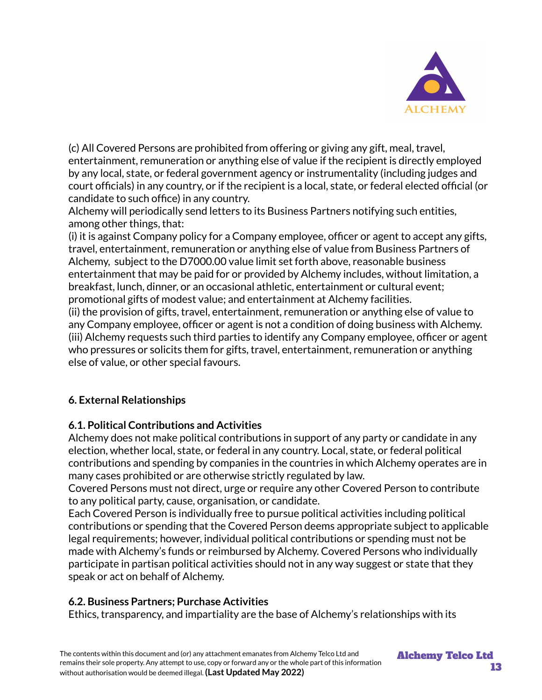

(c) All Covered Persons are prohibited from offering or giving any gift, meal, travel, entertainment, remuneration or anything else of value if the recipient is directly employed by any local, state, or federal government agency or instrumentality (including judges and court officials) in any country, or if the recipient is a local, state, or federal elected official (or candidate to such office) in any country.

Alchemy will periodically send letters to its Business Partners notifying such entities, among other things, that:

(i) it is against Company policy for a Company employee, officer or agent to accept any gifts, travel, entertainment, remuneration or anything else of value from Business Partners of Alchemy, subject to the D7000.00 value limit set forth above, reasonable business entertainment that may be paid for or provided by Alchemy includes, without limitation, a breakfast, lunch, dinner, or an occasional athletic, entertainment or cultural event; promotional gifts of modest value; and entertainment at Alchemy facilities.

(ii) the provision of gifts, travel, entertainment, remuneration or anything else of value to any Company employee, officer or agent is not a condition of doing business with Alchemy. (iii) Alchemy requests such third parties to identify any Company employee, officer or agent who pressures or solicits them for gifts, travel, entertainment, remuneration or anything else of value, or other special favours.

## **6. External Relationships**

## **6.1. Political Contributions and Activities**

Alchemy does not make political contributions in support of any party or candidate in any election, whether local, state, or federal in any country. Local, state, or federal political contributions and spending by companies in the countries in which Alchemy operates are in many cases prohibited or are otherwise strictly regulated by law.

Covered Persons must not direct, urge or require any other Covered Person to contribute to any political party, cause, organisation, or candidate.

Each Covered Person is individually free to pursue political activities including political contributions or spending that the Covered Person deems appropriate subject to applicable legal requirements; however, individual political contributions or spending must not be made with Alchemy's funds or reimbursed by Alchemy. Covered Persons who individually participate in partisan political activities should not in any way suggest or state that they speak or act on behalf of Alchemy.

## **6.2. Business Partners; Purchase Activities**

Ethics, transparency, and impartiality are the base of Alchemy's relationships with its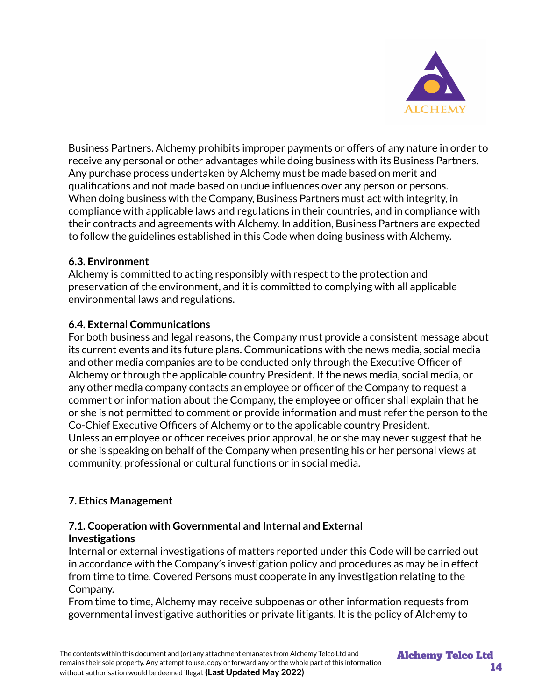

Business Partners. Alchemy prohibits improper payments or offers of any nature in order to receive any personal or other advantages while doing business with its Business Partners. Any purchase process undertaken by Alchemy must be made based on merit and qualifications and not made based on undue influences over any person or persons. When doing business with the Company, Business Partners must act with integrity, in compliance with applicable laws and regulations in their countries, and in compliance with their contracts and agreements with Alchemy. In addition, Business Partners are expected to follow the guidelines established in this Code when doing business with Alchemy.

#### **6.3. Environment**

Alchemy is committed to acting responsibly with respect to the protection and preservation of the environment, and it is committed to complying with all applicable environmental laws and regulations.

#### **6.4. External Communications**

For both business and legal reasons, the Company must provide a consistent message about its current events and its future plans. Communications with the news media, social media and other media companies are to be conducted only through the Executive Officer of Alchemy or through the applicable country President. If the news media, social media, or any other media company contacts an employee or officer of the Company to request a comment or information about the Company, the employee or officer shall explain that he or she is not permitted to comment or provide information and must refer the person to the Co-Chief Executive Officers of Alchemy or to the applicable country President. Unless an employee or officer receives prior approval, he or she may never suggest that he or she is speaking on behalf of the Company when presenting his or her personal views at community, professional or cultural functions or in social media.

## **7. Ethics Management**

#### **7.1. Cooperation with Governmental and Internal and External Investigations**

Internal or external investigations of matters reported under this Code will be carried out in accordance with the Company's investigation policy and procedures as may be in effect from time to time. Covered Persons must cooperate in any investigation relating to the Company.

From time to time, Alchemy may receive subpoenas or other information requests from governmental investigative authorities or private litigants. It is the policy of Alchemy to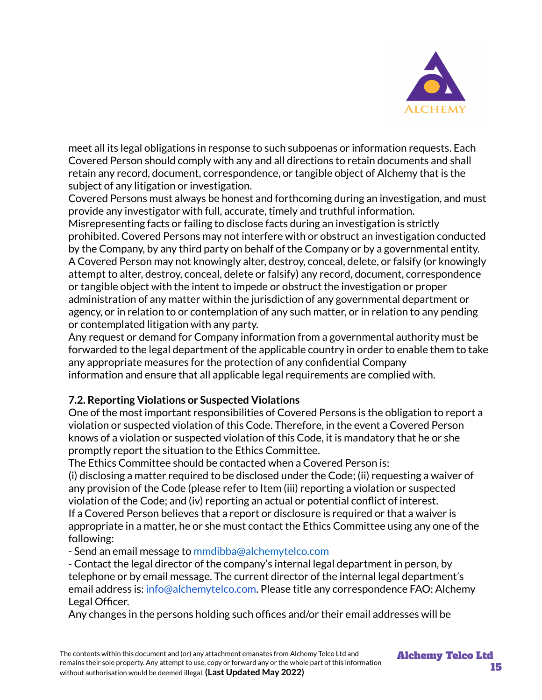

meet all its legal obligations in response to such subpoenas or information requests. Each Covered Person should comply with any and all directions to retain documents and shall retain any record, document, correspondence, or tangible object of Alchemy that is the subiect of any litigation or investigation.

Covered Persons must always be honest and forthcoming during an investigation, and must provide any investigator with full, accurate, timely and truthful information.

Misrepresenting facts or failing to disclose facts during an investigation is strictly prohibited. Covered Persons may not interfere with or obstruct an investigation conducted by the Company, by any third party on behalf of the Company or by a governmental entity. A Covered Person may not knowingly alter, destroy, conceal, delete, or falsify (or knowingly attempt to alter, destroy, conceal, delete or falsify) any record, document, correspondence or tangible object with the intent to impede or obstruct the investigation or proper administration of any matter within the jurisdiction of any governmental department or agency, or in relation to or contemplation of any such matter, or in relation to any pending or contemplated litigation with any party.

Any request or demand for Company information from a governmental authority must be forwarded to the legal department of the applicable country in order to enable them to take any appropriate measures for the protection of any confidential Company information and ensure that all applicable legal requirements are complied with.

#### **7.2. Reporting Violations or Suspected Violations**

One of the most important responsibilities of Covered Persons is the obligation to report a violation or suspected violation of this Code. Therefore, in the event a Covered Person knows of a violation or suspected violation of this Code, it is mandatory that he or she promptly report the situation to the Ethics Committee.

The Ethics Committee should be contacted when a Covered Person is:

(i) disclosing a matter required to be disclosed under the Code; (ii) requesting a waiver of any provision of the Code (please refer to Item (iii) reporting a violation or suspected violation of the Code; and (iv) reporting an actual or potential conflict of interest. If a Covered Person believes that a report or disclosure is required or that a waiver is appropriate in a matter, he or she must contact the Ethics Committee using any one of the following:

- Send an email message to mmdibba@alchemytelco.com

- Contact the legal director of the company's internal legal department in person, by telephone or by email message. The current director of the internal legal department's email address is: info@alchemytelco.com. Please title any correspondence FAO: Alchemy Legal Officer.

Any changes in the persons holding such offices and/or their email addresses will be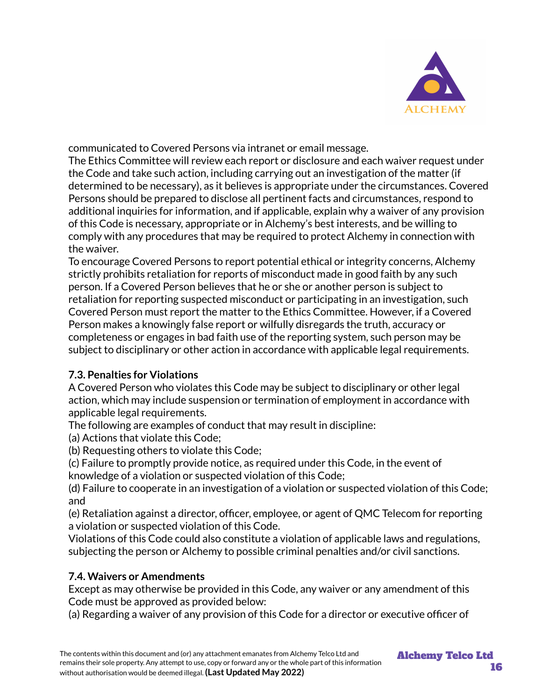

communicated to Covered Persons via intranet or email message.

The Ethics Committee will review each report or disclosure and each waiver request under the Code and take such action, including carrying out an investigation of the matter (if determined to be necessary), as it believes is appropriate under the circumstances. Covered Persons should be prepared to disclose all pertinent facts and circumstances, respond to additional inquiries for information, and if applicable, explain why a waiver of any provision of this Code is necessary, appropriate or in Alchemy's best interests, and be willing to comply with any procedures that may be required to protect Alchemy in connection with the waiver.

To encourage Covered Persons to report potential ethical or integrity concerns, Alchemy strictly prohibits retaliation for reports of misconduct made in good faith by any such person. If a Covered Person believes that he or she or another person is subject to retaliation for reporting suspected misconduct or participating in an investigation, such Covered Person must report the matter to the Ethics Committee. However, if a Covered Person makes a knowingly false report or wilfully disregards the truth, accuracy or completeness or engages in bad faith use of the reporting system, such person may be subject to disciplinary or other action in accordance with applicable legal requirements.

## **7.3. Penalties for Violations**

A Covered Person who violates this Code may be subject to disciplinary or other legal action, which may include suspension or termination of employment in accordance with applicable legal requirements.

The following are examples of conduct that may result in discipline:

(a) Actions that violate this Code;

(b) Requesting others to violate this Code;

(c) Failure to promptly provide notice, as required under this Code, in the event of knowledge of a violation or suspected violation of this Code;

(d) Failure to cooperate in an investigation of a violation or suspected violation of this Code; and

(e) Retaliation against a director, officer, employee, or agent of QMC Telecom for reporting a violation or suspected violation of this Code.

Violations of this Code could also constitute a violation of applicable laws and regulations, subjecting the person or Alchemy to possible criminal penalties and/or civil sanctions.

## **7.4. Waivers or Amendments**

Except as may otherwise be provided in this Code, any waiver or any amendment of this Code must be approved as provided below:

(a) Regarding a waiver of any provision of this Code for a director or executive officer of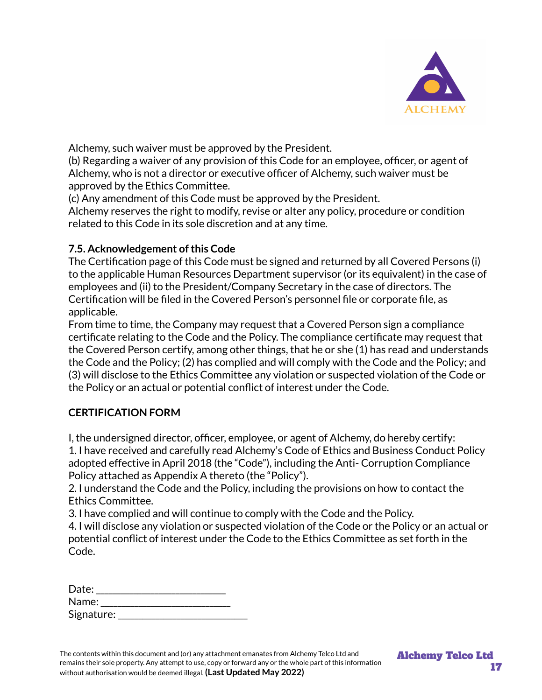

Alchemy, such waiver must be approved by the President.

(b) Regarding a waiver of any provision of this Code for an employee, officer, or agent of Alchemy, who is not a director or executive officer of Alchemy, such waiver must be approved by the Ethics Committee.

(c) Any amendment of this Code must be approved by the President.

Alchemy reserves the right to modify, revise or alter any policy, procedure or condition related to this Code in its sole discretion and at any time.

#### **7.5. Acknowledgement ofthis Code**

The Certification page of this Code must be signed and returned by all Covered Persons (i) to the applicable Human Resources Department supervisor (or its equivalent) in the case of employees and (ii) to the President/Company Secretary in the case of directors. The Certification will be filed in the Covered Person's personnel file or corporate file, as applicable.

From time to time, the Company may request that a Covered Person sign a compliance certificate relating to the Code and the Policy. The compliance certificate may request that the Covered Person certify, among other things, that he or she (1) has read and understands the Code and the Policy; (2) has complied and will comply with the Code and the Policy; and (3) will disclose to the Ethics Committee any violation or suspected violation of the Code or the Policy or an actual or potential conflict of interest under the Code.

#### **CERTIFICATION FORM**

I, the undersigned director, officer, employee, or agent of Alchemy, do hereby certify: 1. I have received and carefully read Alchemy's Code of Ethics and Business Conduct Policy adopted effective in April 2018 (the "Code"), including the Anti- Corruption Compliance Policy attached as Appendix A thereto (the "Policy").

2. I understand the Code and the Policy, including the provisions on how to contact the Ethics Committee.

3. I have complied and will continue to comply with the Code and the Policy.

4. I will disclose any violation or suspected violation of the Code or the Policy or an actual or potential conflict of interest under the Code to the Ethics Committee as set forth in the Code.

| Date:      |  |
|------------|--|
| Name:      |  |
| Signature: |  |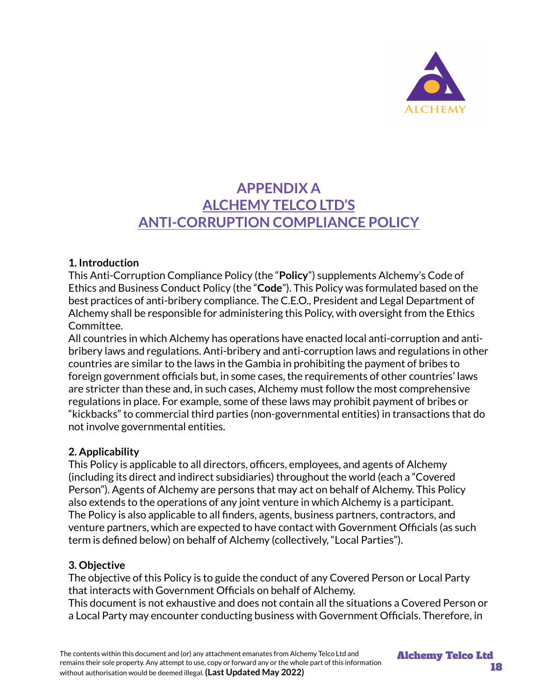

## **APPENDIX A ALCHEMY TELCO LTD'S ANTI-CORRUPTION COMPLIANCE POLICY**

#### **1. Introduction**

This Anti-Corruption Compliance Policy (the "**Policy**") supplements Alchemy's Code of Ethics and Business Conduct Policy (the "**Code**"). This Policy was formulated based on the best practices of anti-bribery compliance. The C.E.O., President and Legal Department of Alchemy shall be responsible for administering this Policy, with oversight from the Ethics Committee.

All countries in which Alchemy has operations have enacted local anti-corruption and antibribery laws and regulations. Anti-bribery and anti-corruption laws and regulations in other countries are similar to the laws in the Gambia in prohibiting the payment of bribes to foreign government officials but, in some cases, the requirements of other countries' laws are stricter than these and, in such cases, Alchemy must follow the most comprehensive regulations in place. For example, some of these laws may prohibit payment of bribes or "kickbacks" to commercial third parties (non-governmental entities) in transactions that do not involve governmental entities.

#### **2. Applicability**

This Policy is applicable to all directors, officers, employees, and agents of Alchemy (including its direct and indirect subsidiaries) throughout the world (each a "Covered Person"). Agents of Alchemy are persons that may act on behalf of Alchemy. This Policy also extends to the operations of any joint venture in which Alchemy is a participant. The Policy is also applicable to all finders, agents, business partners, contractors, and venture partners, which are expected to have contact with Government Officials (as such term is defined below) on behalf of Alchemy (collectively, "Local Parties").

#### **3. Objective**

The objective of this Policy is to guide the conduct of any Covered Person or Local Party that interacts with Government Officials on behalf of Alchemy.

This document is not exhaustive and does not contain all the situations a Covered Person or a Local Party may encounter conducting business with Government Officials. Therefore, in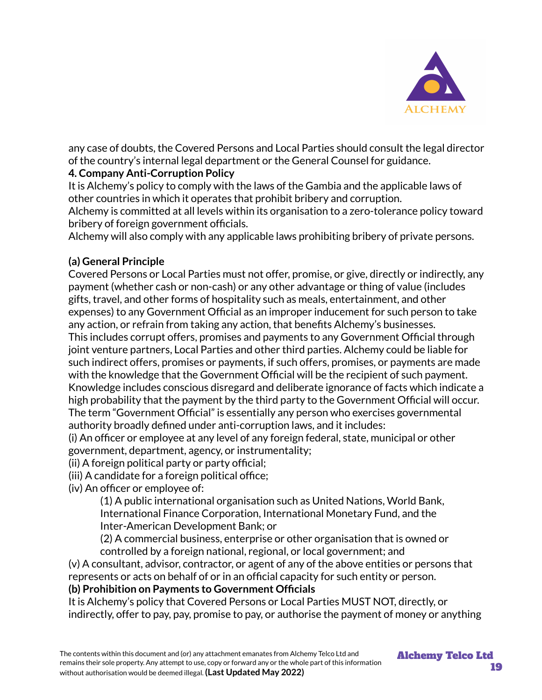

any case of doubts, the Covered Persons and Local Parties should consult the legal director of the country's internal legal department or the General Counsel for guidance.

## **4. Company Anti-Corruption Policy**

It is Alchemy's policy to comply with the laws of the Gambia and the applicable laws of other countries in which it operates that prohibit bribery and corruption.

Alchemy is committed at all levels within its organisation to a zero-tolerance policy toward bribery of foreign government officials.

Alchemy will also comply with any applicable laws prohibiting bribery of private persons.

#### **(a) General Principle**

Covered Persons or Local Parties must not offer, promise, or give, directly or indirectly, any payment (whether cash or non-cash) or any other advantage or thing of value (includes gifts, travel, and other forms of hospitality such as meals, entertainment, and other expenses) to any Government Official as an improper inducement for such person to take any action, or refrain from taking any action, that benefits Alchemy's businesses. This includes corrupt offers, promises and payments to any Government Official through joint venture partners, Local Parties and other third parties. Alchemy could be liable for such indirect offers, promises or payments, if such offers, promises, or payments are made with the knowledge that the Government Official will be the recipient of such payment. Knowledge includes conscious disregard and deliberate ignorance of facts which indicate a high probability that the payment by the third party to the Government Official will occur. The term "Government Official" is essentially any person who exercises governmental authority broadly defined under anti-corruption laws, and it includes:

(i) An officer or employee at any level of any foreign federal, state, municipal or other government, department, agency, or instrumentality;

(ii) A foreign political party or party official;

(iii) A candidate for a foreign political office;

(iv) An officer or employee of:

(1) A public international organisation such as United Nations, World Bank, International Finance Corporation, International Monetary Fund, and the Inter-American Development Bank; or

(2) A commercial business, enterprise or other organisation that is owned or controlled by a foreign national, regional, or local government; and

(v) A consultant, advisor, contractor, or agent of any of the above entities or persons that represents or acts on behalf of or in an official capacity for such entity or person.

#### **(b) Prohibition on Payments to Government Officials**

It is Alchemy's policy that Covered Persons or Local Parties MUST NOT, directly, or indirectly, offer to pay, pay, promise to pay, or authorise the payment of money or anything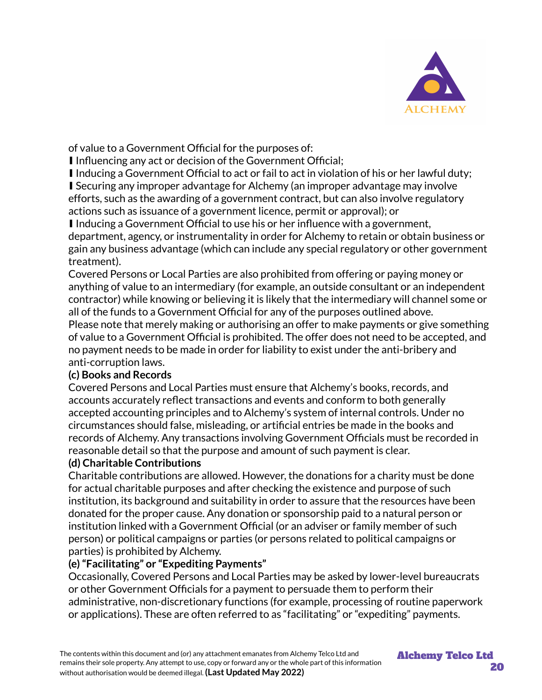

of value to a Government Official for the purposes of:

■ Influencing any act or decision of the Government Official;

∎ Inducing a Government Official to act or fail to act in violation of his or her lawful duty; ■ Securing any improper advantage for Alchemy (an improper advantage may involve efforts, such as the awarding of a government contract, but can also involve regulatory actions such as issuance of a government licence, permit or approval); or

■ Inducing a Government Official to use his or her influence with a government, department, agency, or instrumentality in order for Alchemy to retain or obtain business or gain any business advantage (which can include any special regulatory or other government treatment).

Covered Persons or Local Parties are also prohibited from offering or paying money or anything of value to an intermediary (for example, an outside consultant or an independent contractor) while knowing or believing it is likely that the intermediary will channel some or all of the funds to a Government Official for any of the purposes outlined above.

Please note that merely making or authorising an offer to make payments or give something of value to a Government Official is prohibited. The offer does not need to be accepted, and no payment needs to be made in order for liability to exist under the anti-bribery and anti-corruption laws.

#### **(c) Books and Records**

Covered Persons and Local Parties must ensure that Alchemy's books, records, and accounts accurately reflect transactions and events and conform to both generally accepted accounting principles and to Alchemy's system of internal controls. Under no circumstances should false, misleading, or artificial entries be made in the books and records of Alchemy. Any transactions involving Government Officials must be recorded in reasonable detail so that the purpose and amount of such payment is clear.

## **(d) Charitable Contributions**

Charitable contributions are allowed. However, the donations for a charity must be done for actual charitable purposes and after checking the existence and purpose of such institution, its background and suitability in order to assure that the resources have been donated for the proper cause. Any donation or sponsorship paid to a natural person or institution linked with a Government Official (or an adviser or family member of such person) or political campaigns or parties (or persons related to political campaigns or parties) is prohibited by Alchemy.

## **(e)"Facilitating" or "Expediting Payments"**

Occasionally, Covered Persons and Local Parties may be asked by lower-level bureaucrats or other Government Officials for a payment to persuade them to perform their administrative, non-discretionary functions (for example, processing of routine paperwork or applications). These are often referred to as "facilitating" or "expediting" payments.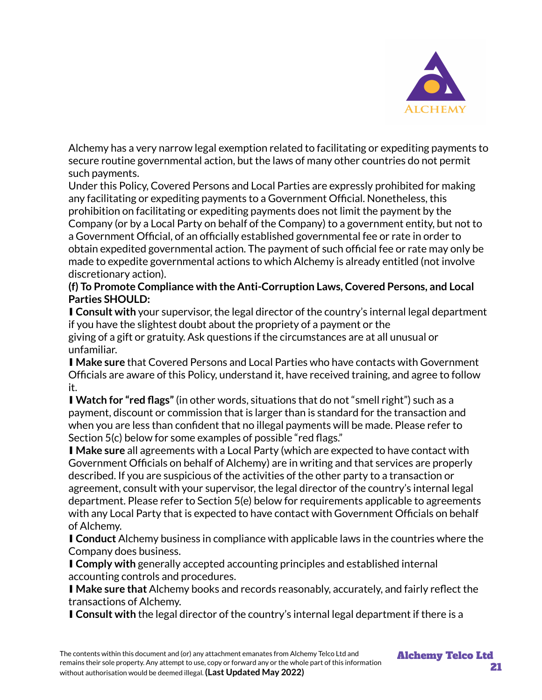

Alchemy has a very narrow legal exemption related to facilitating or expediting payments to secure routine governmental action, but the laws of many other countries do not permit such payments.

Under this Policy, Covered Persons and Local Parties are expressly prohibited for making any facilitating or expediting payments to a Government Official. Nonetheless, this prohibition on facilitating or expediting payments does not limit the payment by the Company (or by a Local Party on behalf of the Company) to a government entity, but not to a Government Official, of an officially established governmental fee or rate in order to obtain expedited governmental action. The payment of such official fee or rate may only be made to expedite governmental actions to which Alchemy is already entitled (not involve discretionary action).

#### **(f) To Promote Compliance with the Anti-Corruption Laws, Covered Persons, and Local Parties SHOULD:**

■ **Consult with** your supervisor, the legal director of the country's internal legal department if you have the slightest doubt about the propriety of a payment or the giving of a gift or gratuity. Ask questions if the circumstances are at all unusual or unfamiliar.

∎ **Make sure** that Covered Persons and Local Parties who have contacts with Government Officials are aware of this Policy, understand it, have received training, and agree to follow it.

∎ **Watch for "red flags"**(in other words, situations that do not "smell right") such as a payment, discount or commission that is larger than is standard for the transaction and when you are less than confident that no illegal payments will be made. Please refer to Section 5(c) below for some examples of possible "red flags."

■ Make sure all agreements with a Local Party (which are expected to have contact with Government Officials on behalf of Alchemy) are in writing and that services are properly described. If you are suspicious of the activities of the other party to a transaction or agreement, consult with your supervisor, the legal director of the country's internal legal department. Please refer to Section 5(e) below for requirements applicable to agreements with any Local Party that is expected to have contact with Government Officials on behalf of Alchemy.

∎ **Conduct** Alchemy business in compliance with applicable laws in the countries where the Company does business.

■ **Comply with** generally accepted accounting principles and established internal accounting controls and procedures.

∎ **Make sure that** Alchemy books and records reasonably, accurately, and fairly reflect the transactions of Alchemy.

∎ **Consult with** the legal director of the country's internal legal department if there is a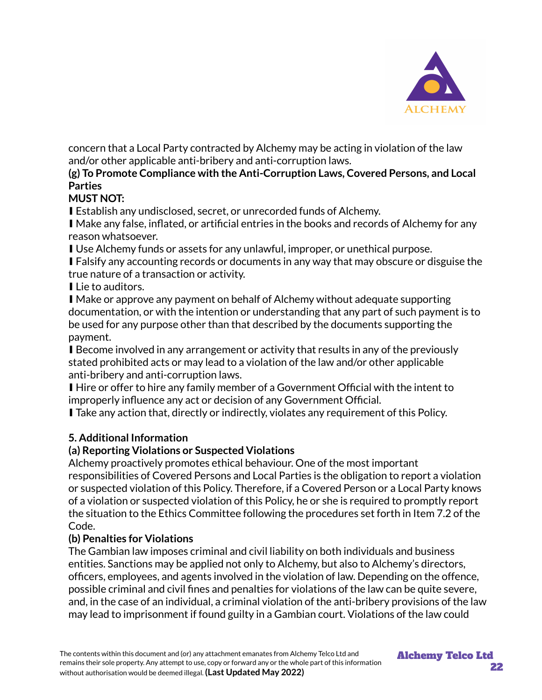

concern that a Local Party contracted by Alchemy may be acting in violation of the law and/or other applicable anti-bribery and anti-corruption laws.

#### **(g) To Promote Compliance with the Anti-Corruption Laws, Covered Persons, and Local Parties**

## **MUST NOT:**

■ Establish any undisclosed, secret, or unrecorded funds of Alchemy.

■ Make any false, inflated, or artificial entries in the books and records of Alchemy for any reason whatsoever.

■ Use Alchemy funds or assets for any unlawful, improper, or unethical purpose.

■ Falsify any accounting records or documents in any way that may obscure or disguise the true nature of a transaction or activity.

■ Lie to auditors.

■ Make or approve any payment on behalf of Alchemy without adequate supporting documentation, or with the intention or understanding that any part of such payment is to be used for any purpose other than that described by the documents supporting the payment.

■ Become involved in any arrangement or activity that results in any of the previously stated prohibited acts or may lead to a violation of the law and/or other applicable anti-bribery and anti-corruption laws.

∎ Hire or offer to hire any family member of a Government Official with the intent to improperly influence any act or decision of any Government Official.

■ Take any action that, directly or indirectly, violates any requirement of this Policy.

#### **5. Additional Information**

#### **(a) Reporting Violations or Suspected Violations**

Alchemy proactively promotes ethical behaviour. One of the most important responsibilities of Covered Persons and Local Parties is the obligation to report a violation or suspected violation of this Policy. Therefore, if a Covered Person or a Local Party knows of a violation or suspected violation of this Policy, he or she is required to promptly report the situation to the Ethics Committee following the procedures set forth in Item 7.2 of the Code.

#### **(b) Penalties for Violations**

The Gambian law imposes criminal and civil liability on both individuals and business entities. Sanctions may be applied not only to Alchemy, but also to Alchemy's directors, officers, employees, and agents involved in the violation of law. Depending on the offence, possible criminal and civil fines and penalties for violations of the law can be quite severe, and, in the case of an individual, a criminal violation of the anti-bribery provisions of the law may lead to imprisonment if found guilty in a Gambian court. Violations of the law could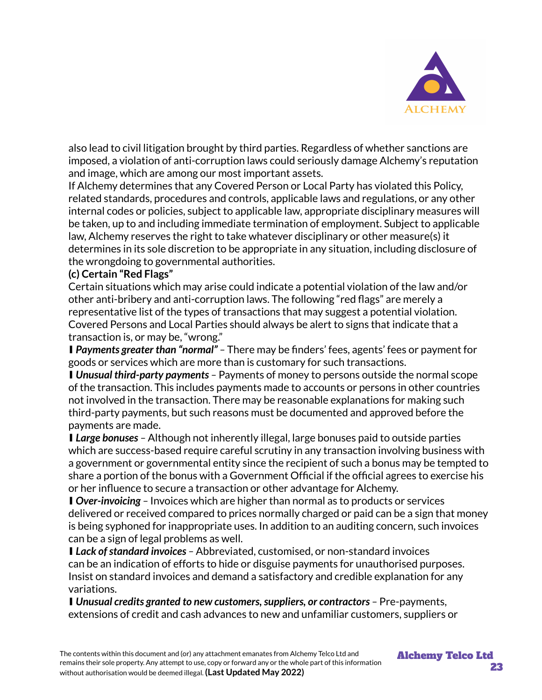

also lead to civil litigation brought by third parties. Regardless of whether sanctions are imposed, a violation of anti-corruption laws could seriously damage Alchemy's reputation and image, which are among our most important assets.

If Alchemy determines that any Covered Person or Local Party has violated this Policy, related standards, procedures and controls, applicable laws and regulations, or any other internal codes or policies, subject to applicable law, appropriate disciplinary measures will be taken, up to and including immediate termination of employment. Subject to applicable law, Alchemy reserves the right to take whatever disciplinary or other measure(s) it determines in its sole discretion to be appropriate in any situation, including disclosure of the wrongdoing to governmental authorities.

#### **(c) Certain "Red Flags"**

Certain situations which may arise could indicate a potential violation of the law and/or other anti-bribery and anti-corruption laws. The following "red flags" are merely a representative list of the types of transactions that may suggest a potential violation. Covered Persons and Local Parties should always be alert to signs that indicate that a transaction is, or may be, "wrong."

∎ *Payments greater than "normal" –* There may be finders' fees, agents' fees or payment for goods or services which are more than is customary for such transactions.

∎ *Unusual third-party payments –* Payments of money to persons outside the normal scope of the transaction. This includes payments made to accounts or persons in other countries not involved in the transaction. There may be reasonable explanations for making such third-party payments, but such reasons must be documented and approved before the payments are made.

∎ *Large bonuses –* Although not inherently illegal, large bonuses paid to outside parties which are success-based require careful scrutiny in any transaction involving business with a government or governmental entity since the recipient of such a bonus may be tempted to share a portion of the bonus with a Government Official if the official agrees to exercise his or her influence to secure a transaction or other advantage for Alchemy.

■ *Over-invoicing* – Invoices which are higher than normal as to products or services delivered or received compared to prices normally charged or paid can be a sign that money is being syphoned for inappropriate uses. In addition to an auditing concern, such invoices can be a sign of legal problems as well.

■ *Lack of standard invoices* - Abbreviated, customised, or non-standard invoices can be an indication of efforts to hide or disguise payments for unauthorised purposes. Insist on standard invoices and demand a satisfactory and credible explanation for any variations.

■ *Unusual credits granted to new customers, suppliers, or contractors* - Pre-payments, extensions of credit and cash advances to new and unfamiliar customers, suppliers or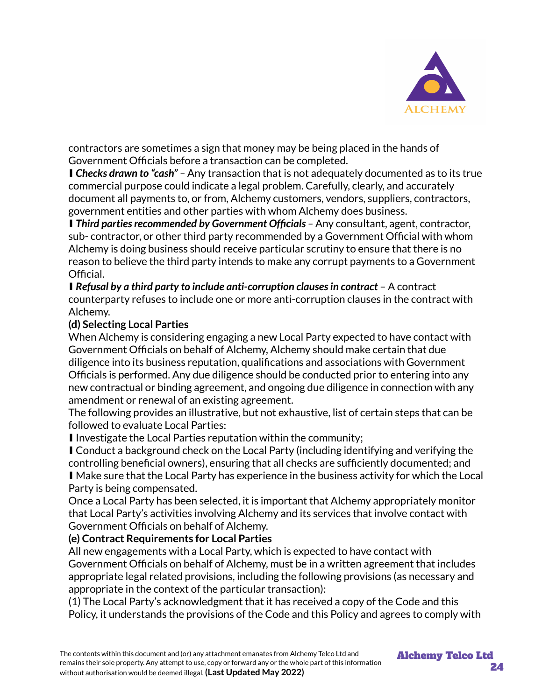

contractors are sometimes a sign that money may be being placed in the hands of Government Officials before a transaction can be completed.

∎ *Checks drawn to "cash" –* Any transaction that is not adequately documented as to its true commercial purpose could indicate a legal problem. Carefully, clearly, and accurately document all payments to, or from, Alchemy customers, vendors, suppliers, contractors, government entities and other parties with whom Alchemy does business.

■ *Third parties recommended by Government Officials –* Any consultant, agent, contractor, sub- contractor, or other third party recommended by a Government Official with whom Alchemy is doing business should receive particular scrutiny to ensure that there is no reason to believe the third party intends to make any corrupt payments to a Government Official.

∎ *Refusal by a third party to include anti-corruption clausesin contract* – A contract counterparty refuses to include one or more anti-corruption clauses in the contract with Alchemy.

#### **(d) Selecting Local Parties**

When Alchemy is considering engaging a new Local Party expected to have contact with Government Officials on behalf of Alchemy, Alchemy should make certain that due diligence into its business reputation, qualifications and associations with Government Officials is performed. Any due diligence should be conducted prior to entering into any new contractual or binding agreement, and ongoing due diligence in connection with any amendment or renewal of an existing agreement.

The following provides an illustrative, but not exhaustive, list of certain steps that can be followed to evaluate Local Parties:

∎ Investigate the Local Parties reputation within the community;

■ Conduct a background check on the Local Party (including identifying and verifying the controlling beneficial owners), ensuring that all checks are sufficiently documented; and ■ Make sure that the Local Party has experience in the business activity for which the Local Party is being compensated.

Once a Local Party has been selected, it is important that Alchemy appropriately monitor that Local Party's activities involving Alchemy and its services that involve contact with Government Officials on behalf of Alchemy.

#### **(e) Contract Requirements for Local Parties**

All new engagements with a Local Party, which is expected to have contact with Government Officials on behalf of Alchemy, must be in a written agreement that includes appropriate legal related provisions, including the following provisions (as necessary and appropriate in the context of the particular transaction):

(1) The Local Party's acknowledgment that it has received a copy of the Code and this Policy, it understands the provisions of the Code and this Policy and agrees to comply with